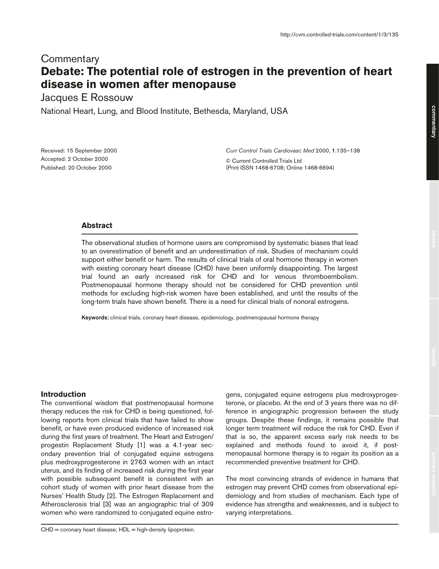# **Commentary Debate: The potential role of estrogen in the prevention of heart disease in women after menopause**

Jacques E Rossouw

National Heart, Lung, and Blood Institute, Bethesda, Maryland, USA

Received: 15 September 2000 Accepted: 2 October 2000 Published: 20 October 2000

*Curr Control Trials Cardiovasc Med* 2000, **1**:135–138

© Current Controlled Trials Ltd (Print ISSN 1468-6708; Online 1468-6694)

## **Abstract**

The observational studies of hormone users are compromised by systematic biases that lead to an overestimation of benefit and an underestimation of risk. Studies of mechanism could support either benefit or harm. The results of clinical trials of oral hormone therapy in women with existing coronary heart disease (CHD) have been uniformly disappointing. The largest trial found an early increased risk for CHD and for venous thromboembolism. Postmenopausal hormone therapy should not be considered for CHD prevention until methods for excluding high-risk women have been established, and until the results of the long-term trials have shown benefit. There is a need for clinical trials of nonoral estrogens.

**Keywords:** clinical trials, coronary heart disease, epidemiology, postmenopausal hormone therapy

## **Introduction**

The conventional wisdom that postmenopausal hormone therapy reduces the risk for CHD is being questioned, following reports from clinical trials that have failed to show benefit, or have even produced evidence of increased risk during the first years of treatment. The Heart and Estrogen/ progestin Replacement Study [1] was a 4.1-year secondary prevention trial of conjugated equine estrogens plus medroxyprogesterone in 2763 women with an intact uterus, and its finding of increased risk during the first year with possible subsequent benefit is consistent with an cohort study of women with prior heart disease from the Nurses' Health Study [2]. The Estrogen Replacement and Atherosclerosis trial [3] was an angiographic trial of 309 women who were randomized to conjugated equine estrogens, conjugated equine estrogens plus medroxyprogesterone, or placebo. At the end of 3 years there was no difference in angiographic progression between the study groups. Despite these findings, it remains possible that longer term treatment will reduce the risk for CHD. Even if that is so, the apparent excess early risk needs to be explained and methods found to avoid it, if postmenopausal hormone therapy is to regain its position as a recommended preventive treatment for CHD.

The most convincing strands of evidence in humans that estrogen may prevent CHD comes from observational epidemiology and from studies of mechanism. Each type of evidence has strengths and weaknesses, and is subject to varying interpretations.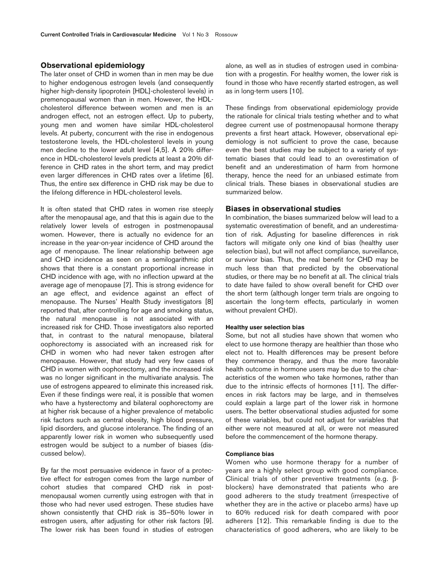#### **Observational epidemiology**

The later onset of CHD in women than in men may be due to higher endogenous estrogen levels (and consequently higher high-density lipoprotein [HDL]-cholesterol levels) in premenopausal women than in men. However, the HDLcholesterol difference between women and men is an androgen effect, not an estrogen effect. Up to puberty, young men and women have similar HDL-cholesterol levels. At puberty, concurrent with the rise in endogenous testosterone levels, the HDL-cholesterol levels in young men decline to the lower adult level [4,5]. A 20% difference in HDL-cholesterol levels predicts at least a 20% difference in CHD rates in the short term, and may predict even larger differences in CHD rates over a lifetime [6]. Thus, the entire sex difference in CHD risk may be due to the lifelong difference in HDL-cholesterol levels.

It is often stated that CHD rates in women rise steeply after the menopausal age, and that this is again due to the relatively lower levels of estrogen in postmenopausal women. However, there is actually no evidence for an increase in the year-on-year incidence of CHD around the age of menopause. The linear relationship between age and CHD incidence as seen on a semilogarithmic plot shows that there is a constant proportional increase in CHD incidence with age, with no inflection upward at the average age of menopause [7]. This is strong evidence for an age effect, and evidence against an effect of menopause. The Nurses' Health Study investigators [8] reported that, after controlling for age and smoking status, the natural menopause is not associated with an increased risk for CHD. Those investigators also reported that, in contrast to the natural menopause, bilateral oophorectomy is associated with an increased risk for CHD in women who had never taken estrogen after menopause. However, that study had very few cases of CHD in women with oophorectomy, and the increased risk was no longer significant in the multivariate analysis. The use of estrogens appeared to eliminate this increased risk. Even if these findings were real, it is possible that women who have a hysterectomy and bilateral oophorectomy are at higher risk because of a higher prevalence of metabolic risk factors such as central obesity, high blood pressure, lipid disorders, and glucose intolerance. The finding of an apparently lower risk in women who subsequently used estrogen would be subject to a number of biases (discussed below).

By far the most persuasive evidence in favor of a protective effect for estrogen comes from the large number of cohort studies that compared CHD risk in postmenopausal women currently using estrogen with that in those who had never used estrogen. These studies have shown consistently that CHD risk is 35–50% lower in estrogen users, after adjusting for other risk factors [9]. The lower risk has been found in studies of estrogen alone, as well as in studies of estrogen used in combination with a progestin. For healthy women, the lower risk is found in those who have recently started estrogen, as well as in long-term users [10].

These findings from observational epidemiology provide the rationale for clinical trials testing whether and to what degree current use of postmenopausal hormone therapy prevents a first heart attack. However, observational epidemiology is not sufficient to prove the case, because even the best studies may be subject to a variety of systematic biases that could lead to an overestimation of benefit and an underestimation of harm from hormone therapy, hence the need for an unbiased estimate from clinical trials. These biases in observational studies are summarized below.

### **Biases in observational studies**

In combination, the biases summarized below will lead to a systematic overestimation of benefit, and an underestimation of risk. Adjusting for baseline differences in risk factors will mitigate only one kind of bias (healthy user selection bias), but will not affect compliance, surveillance, or survivor bias. Thus, the real benefit for CHD may be much less than that predicted by the observational studies, or there may be no benefit at all. The clinical trials to date have failed to show overall benefit for CHD over the short term (although longer term trials are ongoing to ascertain the long-term effects, particularly in women without prevalent CHD).

#### **Healthy user selection bias**

Some, but not all studies have shown that women who elect to use hormone therapy are healthier than those who elect not to. Health differences may be present before they commence therapy, and thus the more favorable health outcome in hormone users may be due to the characteristics of the women who take hormones, rather than due to the intrinsic effects of hormones [11]. The differences in risk factors may be large, and in themselves could explain a large part of the lower risk in hormone users. The better observational studies adjusted for some of these variables, but could not adjust for variables that either were not measured at all, or were not measured before the commencement of the hormone therapy.

#### **Compliance bias**

Women who use hormone therapy for a number of years are a highly select group with good compliance. Clinical trials of other preventive treatments (e.g. βblockers) have demonstrated that patients who are good adherers to the study treatment (irrespective of whether they are in the active or placebo arms) have up to 60% reduced risk for death compared with poor adherers [12]. This remarkable finding is due to the characteristics of good adherers, who are likely to be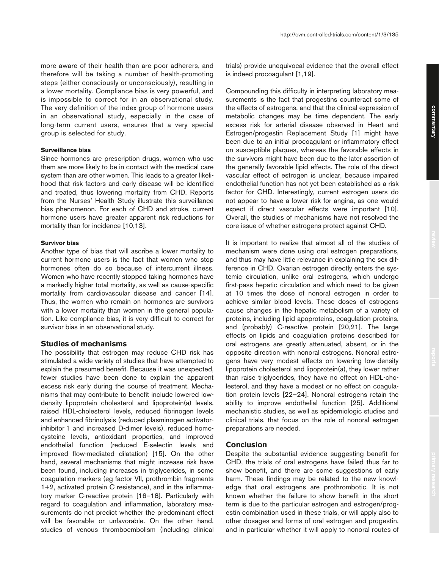more aware of their health than are poor adherers, and therefore will be taking a number of health-promoting steps (either consciously or unconsciously), resulting in a lower mortality. Compliance bias is very powerful, and is impossible to correct for in an observational study. The very definition of the index group of hormone users in an observational study, especially in the case of long-term current users, ensures that a very special group is selected for study.

#### **Surveillance bias**

Since hormones are prescription drugs, women who use them are more likely to be in contact with the medical care system than are other women. This leads to a greater likelihood that risk factors and early disease will be identified and treated, thus lowering mortality from CHD. Reports from the Nurses' Health Study illustrate this surveillance bias phenomenon. For each of CHD and stroke, current hormone users have greater apparent risk reductions for mortality than for incidence [10,13].

### **Survivor bias**

Another type of bias that will ascribe a lower mortality to current hormone users is the fact that women who stop hormones often do so because of intercurrent illness. Women who have recently stopped taking hormones have a markedly higher total mortality, as well as cause-specific mortality from cardiovascular disease and cancer [14]. Thus, the women who remain on hormones are survivors with a lower mortality than women in the general population. Like compliance bias, it is very difficult to correct for survivor bias in an observational study.

## **Studies of mechanisms**

The possibility that estrogen may reduce CHD risk has stimulated a wide variety of studies that have attempted to explain the presumed benefit. Because it was unexpected, fewer studies have been done to explain the apparent excess risk early during the course of treatment. Mechanisms that may contribute to benefit include lowered lowdensity lipoprotein cholesterol and lipoprotein(a) levels, raised HDL-cholesterol levels, reduced fibrinogen levels and enhanced fibrinolysis (reduced plasminogen activatorinhibitor 1 and increased D-dimer levels), reduced homocysteine levels, antioxidant properties, and improved endothelial function (reduced E-selectin levels and improved flow-mediated dilatation) [15]. On the other hand, several mechanisms that might increase risk have been found, including increases in triglycerides, in some coagulation markers (eg factor VII, prothrombin fragments 1+2, activated protein C resistance), and in the inflammatory marker C-reactive protein [16–18]. Particularly with regard to coagulation and inflammation, laboratory measurements do not predict whether the predominant effect will be favorable or unfavorable. On the other hand, studies of venous thromboembolism (including clinical

trials) provide unequivocal evidence that the overall effect is indeed procoagulant [1,19].

Compounding this difficulty in interpreting laboratory measurements is the fact that progestins counteract some of the effects of estrogens, and that the clinical expression of metabolic changes may be time dependent. The early excess risk for arterial disease observed in Heart and Estrogen/progestin Replacement Study [1] might have been due to an initial procoagulant or inflammatory effect on susceptible plaques, whereas the favorable effects in the survivors might have been due to the later assertion of the generally favorable lipid effects. The role of the direct vascular effect of estrogen is unclear, because impaired endothelial function has not yet been established as a risk factor for CHD. Interestingly, current estrogen users do not appear to have a lower risk for angina, as one would expect if direct vascular effects were important [10]. Overall, the studies of mechanisms have not resolved the core issue of whether estrogens protect against CHD.

It is important to realize that almost all of the studies of mechanism were done using oral estrogen preparations, and thus may have little relevance in explaining the sex difference in CHD. Ovarian estrogen directly enters the systemic circulation, unlike oral estrogens, which undergo first-pass hepatic circulation and which need to be given at 10 times the dose of nonoral estrogen in order to achieve similar blood levels. These doses of estrogens cause changes in the hepatic metabolism of a variety of proteins, including lipid apoproteins, coagulation proteins, and (probably) C-reactive protein [20,21]. The large effects on lipids and coagulation proteins described for oral estrogens are greatly attenuated, absent, or in the opposite direction with nonoral estrogens. Nonoral estrogens have very modest effects on lowering low-density lipoprotein cholesterol and lipoprotein(a), they lower rather than raise triglycerides, they have no effect on HDL-cholesterol, and they have a modest or no effect on coagulation protein levels [22–24]. Nonoral estrogens retain the ability to improve endothelial function [25]. Additional mechanistic studies, as well as epidemiologic studies and clinical trials, that focus on the role of nonoral estrogen preparations are needed.

## **Conclusion**

Despite the substantial evidence suggesting benefit for CHD, the trials of oral estrogens have failed thus far to show benefit, and there are some suggestions of early harm. These findings may be related to the new knowledge that oral estrogens are prothrombotic. It is not known whether the failure to show benefit in the short term is due to the particular estrogen and estrogen/progestin combination used in these trials, or will apply also to other dosages and forms of oral estrogen and progestin, and in particular whether it will apply to nonoral routes of